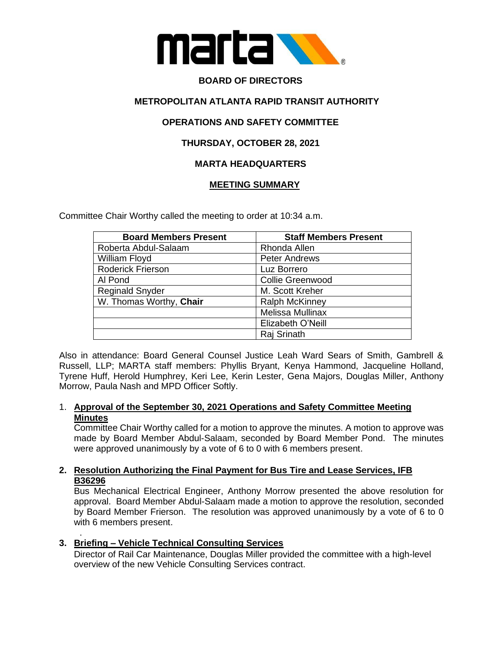

# **BOARD OF DIRECTORS**

## **METROPOLITAN ATLANTA RAPID TRANSIT AUTHORITY**

## **OPERATIONS AND SAFETY COMMITTEE**

## **THURSDAY, OCTOBER 28, 2021**

# **MARTA HEADQUARTERS**

### **MEETING SUMMARY**

Committee Chair Worthy called the meeting to order at 10:34 a.m.

| <b>Board Members Present</b> | <b>Staff Members Present</b> |
|------------------------------|------------------------------|
| Roberta Abdul-Salaam         | Rhonda Allen                 |
| William Floyd                | <b>Peter Andrews</b>         |
| <b>Roderick Frierson</b>     | Luz Borrero                  |
| Al Pond                      | <b>Collie Greenwood</b>      |
| <b>Reginald Snyder</b>       | M. Scott Kreher              |
| W. Thomas Worthy, Chair      | <b>Ralph McKinney</b>        |
|                              | Melissa Mullinax             |
|                              | Elizabeth O'Neill            |
|                              | Raj Srinath                  |

Also in attendance: Board General Counsel Justice Leah Ward Sears of Smith, Gambrell & Russell, LLP; MARTA staff members: Phyllis Bryant, Kenya Hammond, Jacqueline Holland, Tyrene Huff, Herold Humphrey, Keri Lee, Kerin Lester, Gena Majors, Douglas Miller, Anthony Morrow, Paula Nash and MPD Officer Softly.

### 1. **Approval of the September 30, 2021 Operations and Safety Committee Meeting Minutes**

Committee Chair Worthy called for a motion to approve the minutes. A motion to approve was made by Board Member Abdul-Salaam, seconded by Board Member Pond. The minutes were approved unanimously by a vote of 6 to 0 with 6 members present.

### **2. Resolution Authorizing the Final Payment for Bus Tire and Lease Services, IFB B36296**

Bus Mechanical Electrical Engineer, Anthony Morrow presented the above resolution for approval. Board Member Abdul-Salaam made a motion to approve the resolution, seconded by Board Member Frierson. The resolution was approved unanimously by a vote of 6 to 0 with 6 members present.

### **3. Briefing – Vehicle Technical Consulting Services**

.

Director of Rail Car Maintenance, Douglas Miller provided the committee with a high-level overview of the new Vehicle Consulting Services contract.